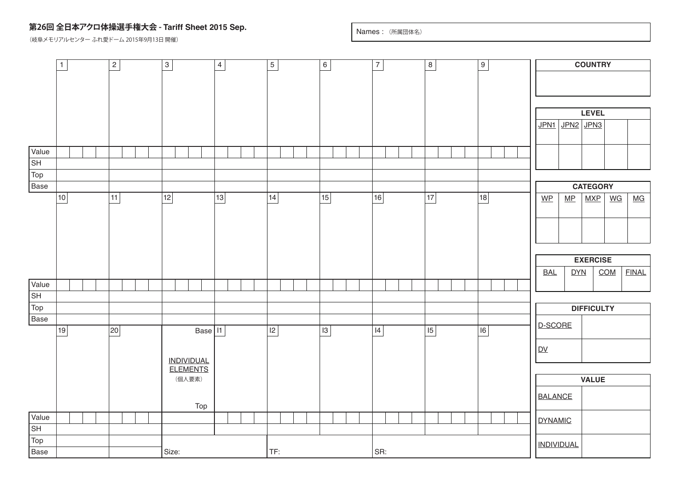## **第26回 全日本アクロ体操選手権大会 - Tariff Sheet 2015 Sep.**

(岐阜メモリアルセンター ふれ愛ドーム 2015年9月13日 開催)

Names : (所属団体名)

|                          | $\mathbf{1}$ |  |  | $\boxed{2}$ |  |  |  | $\boldsymbol{\mathrm{s}}$ |        |                   | $\overline{4}$ |  | $\overline{5}$ |  |  |  | 6               |  |  | $\overline{7}$ |     |  |  | $\boxed{8}$ |  |  |  | $\overline{9}$ |  |  |                |                                          |                   | <b>COUNTRY</b> |                   |  |              |
|--------------------------|--------------|--|--|-------------|--|--|--|---------------------------|--------|-------------------|----------------|--|----------------|--|--|--|-----------------|--|--|----------------|-----|--|--|-------------|--|--|--|----------------|--|--|----------------|------------------------------------------|-------------------|----------------|-------------------|--|--------------|
|                          |              |  |  |             |  |  |  |                           |        |                   |                |  |                |  |  |  |                 |  |  |                |     |  |  |             |  |  |  |                |  |  |                |                                          |                   |                |                   |  |              |
|                          |              |  |  |             |  |  |  |                           |        |                   |                |  |                |  |  |  |                 |  |  |                |     |  |  |             |  |  |  |                |  |  |                |                                          |                   |                |                   |  |              |
|                          |              |  |  |             |  |  |  |                           |        |                   |                |  |                |  |  |  |                 |  |  |                |     |  |  |             |  |  |  |                |  |  |                |                                          |                   |                |                   |  |              |
|                          |              |  |  |             |  |  |  |                           |        |                   |                |  |                |  |  |  |                 |  |  |                |     |  |  |             |  |  |  |                |  |  |                |                                          |                   | <b>LEVEL</b>   |                   |  |              |
|                          |              |  |  |             |  |  |  |                           |        |                   |                |  |                |  |  |  |                 |  |  |                |     |  |  |             |  |  |  |                |  |  |                |                                          | JPN1 JPN2 JPN3    |                |                   |  |              |
| Value                    |              |  |  |             |  |  |  |                           |        |                   |                |  |                |  |  |  |                 |  |  |                |     |  |  |             |  |  |  |                |  |  |                |                                          |                   |                |                   |  |              |
| $\sqrt{\mathsf{SH}}$     |              |  |  |             |  |  |  |                           |        |                   |                |  |                |  |  |  |                 |  |  |                |     |  |  |             |  |  |  |                |  |  |                |                                          |                   |                |                   |  |              |
| Top                      |              |  |  |             |  |  |  |                           |        |                   |                |  |                |  |  |  |                 |  |  |                |     |  |  |             |  |  |  |                |  |  |                |                                          |                   |                |                   |  |              |
| Base                     |              |  |  |             |  |  |  |                           |        |                   |                |  | 14 <br>15      |  |  |  |                 |  |  |                |     |  |  | 17          |  |  |  | 18             |  |  |                | <b>CATEGORY</b><br>MXP<br>W <sub>P</sub> |                   |                |                   |  |              |
|                          | 10           |  |  | 11          |  |  |  | 12                        |        |                   | $\boxed{13}$   |  |                |  |  |  |                 |  |  | 16             |     |  |  |             |  |  |  |                |  |  |                |                                          | MP                |                | WG                |  | MG           |
|                          |              |  |  |             |  |  |  |                           |        |                   |                |  |                |  |  |  |                 |  |  |                |     |  |  |             |  |  |  |                |  |  |                |                                          |                   |                |                   |  |              |
|                          |              |  |  |             |  |  |  |                           |        |                   |                |  |                |  |  |  |                 |  |  |                |     |  |  |             |  |  |  |                |  |  |                |                                          |                   |                |                   |  |              |
|                          |              |  |  |             |  |  |  |                           |        |                   |                |  |                |  |  |  |                 |  |  |                |     |  |  |             |  |  |  |                |  |  |                |                                          |                   |                |                   |  |              |
|                          |              |  |  |             |  |  |  |                           |        |                   |                |  |                |  |  |  |                 |  |  |                |     |  |  |             |  |  |  |                |  |  |                |                                          | <b>EXERCISE</b>   |                |                   |  |              |
|                          |              |  |  |             |  |  |  |                           |        |                   |                |  |                |  |  |  |                 |  |  |                |     |  |  |             |  |  |  |                |  |  |                | <b>BAL</b>                               | <b>DYN</b>        |                | COM               |  | <b>FINAL</b> |
| Value                    |              |  |  |             |  |  |  |                           |        |                   |                |  |                |  |  |  |                 |  |  |                |     |  |  |             |  |  |  |                |  |  |                |                                          |                   |                |                   |  |              |
| $\overline{\mathsf{SH}}$ |              |  |  |             |  |  |  |                           |        |                   |                |  |                |  |  |  |                 |  |  |                |     |  |  |             |  |  |  |                |  |  |                |                                          |                   |                |                   |  |              |
| Top                      |              |  |  |             |  |  |  |                           |        |                   |                |  |                |  |  |  |                 |  |  |                |     |  |  |             |  |  |  |                |  |  |                |                                          |                   |                | <b>DIFFICULTY</b> |  |              |
| Base                     |              |  |  |             |  |  |  |                           |        |                   |                |  |                |  |  |  |                 |  |  |                |     |  |  |             |  |  |  |                |  |  |                |                                          | D-SCORE           |                |                   |  |              |
|                          | 19           |  |  | 20          |  |  |  |                           |        | Base 11           |                |  | 2              |  |  |  | $\overline{13}$ |  |  | 4              |     |  |  | 15          |  |  |  | 6              |  |  |                |                                          |                   |                |                   |  |              |
|                          |              |  |  |             |  |  |  |                           |        |                   |                |  |                |  |  |  |                 |  |  |                |     |  |  |             |  |  |  |                |  |  | D <sub>V</sub> |                                          |                   |                |                   |  |              |
|                          |              |  |  |             |  |  |  |                           |        | <b>INDIVIDUAL</b> |                |  |                |  |  |  |                 |  |  |                |     |  |  |             |  |  |  |                |  |  |                |                                          |                   |                |                   |  |              |
|                          |              |  |  |             |  |  |  |                           |        | <b>ELEMENTS</b>   |                |  |                |  |  |  |                 |  |  |                |     |  |  |             |  |  |  |                |  |  |                |                                          |                   |                |                   |  |              |
|                          |              |  |  |             |  |  |  |                           | (個人要素) |                   |                |  |                |  |  |  |                 |  |  |                |     |  |  |             |  |  |  |                |  |  |                |                                          |                   | <b>VALUE</b>   |                   |  |              |
|                          |              |  |  |             |  |  |  |                           |        |                   |                |  |                |  |  |  |                 |  |  |                |     |  |  |             |  |  |  |                |  |  | <b>BALANCE</b> |                                          |                   |                |                   |  |              |
|                          |              |  |  |             |  |  |  |                           |        | Top               |                |  |                |  |  |  |                 |  |  |                |     |  |  |             |  |  |  |                |  |  |                |                                          |                   |                |                   |  |              |
| Value<br>SH              |              |  |  |             |  |  |  |                           |        |                   |                |  |                |  |  |  |                 |  |  |                |     |  |  |             |  |  |  |                |  |  | <b>DYNAMIC</b> |                                          |                   |                |                   |  |              |
| $\sqrt{\textsf{Top}}$    |              |  |  |             |  |  |  |                           |        |                   |                |  |                |  |  |  |                 |  |  |                |     |  |  |             |  |  |  |                |  |  |                |                                          |                   |                |                   |  |              |
| Base                     |              |  |  |             |  |  |  | Size:                     |        |                   |                |  | TF:            |  |  |  |                 |  |  |                | SR: |  |  |             |  |  |  |                |  |  |                |                                          | <b>INDIVIDUAL</b> |                |                   |  |              |
|                          |              |  |  |             |  |  |  |                           |        |                   |                |  |                |  |  |  |                 |  |  |                |     |  |  |             |  |  |  |                |  |  |                |                                          |                   |                |                   |  |              |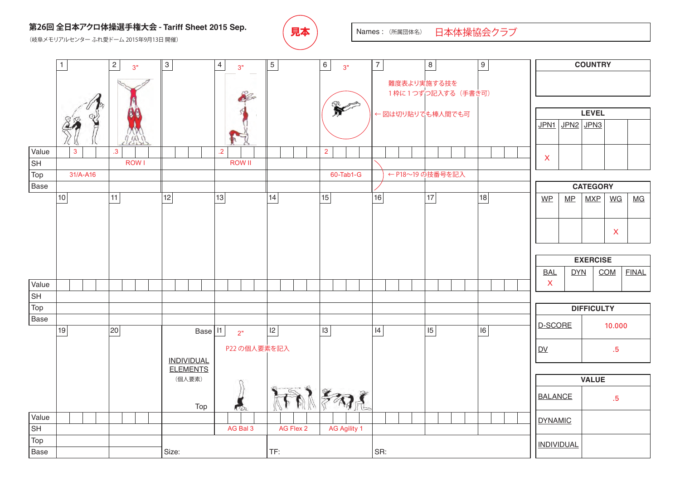## 第26回 全日本アクロ体操選手権大会 - Tariff Sheet 2015 Sep.  $\left(\begin{array}{c|c} \mathbf{R} & \mathbf{R} \end{array}\right)$  **Names : (所属団体名)**

(岐阜メモリアルセンター ふれ愛ドーム 2015年9月13日 開催)



日本体操協会クラブ

**COUNTRY** 1 2 3 4 5 6 7 8 9 3" 3" 3" 難度表より実施する技を 1枠に1つずつ記入する (手書き可) 2c R **LEVEL** ← 図は切り貼りでも棒人間でも可 JPN1 JPN2 JPN3 Value 3 .3 .2 2 X lsн ROW I ROW II ← P18~19 の技番号を記入Top 31/A-A16 | | | | | | | | | | | | 60-Tab1-G **Base CATEGORY**  $WP$  MP  $MXP$  WG MG 10 | 11 | 12 | 13 | 14 | 15 | 16 | 17 | 17 X **EXERCISE** BAL DYN COM FINAL X Value SH Top **DIFFICULTY** Base D-SCORE 10.000 Base | I1 | 19 | 20 | Base | 11 | 2<sub>"</sub> | 12 | 13 | 14 | 14 | 15 | 16 2" P22 の個人要素を記入 DV .5 INDIVIDUAL ELEMENTS (個人要素) **VALUE** 和 BALANCE .5 Top Value DYNAMIC **SH** AG Bal 3 | AG Flex 2 | AG Agility 1 Top INDIVIDUAL Base Size: TF: SR: